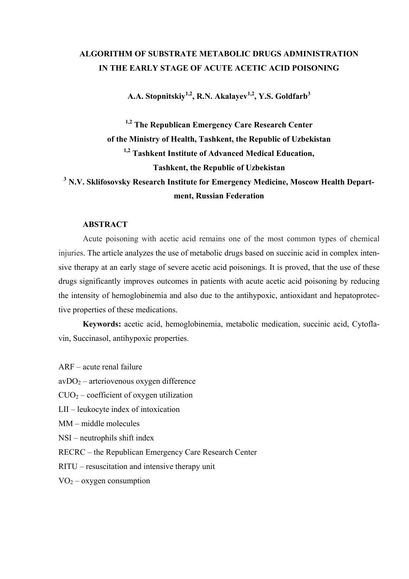# **ALGORITHM OF SUBSTRATE METABOLIC DRUGS ADMINISTRATION IN THE EARLY STAGE OF ACUTE ACETIC ACID POISONING**

A.A. Stopnitskiy<sup>1,2</sup>, R.N. Akalayev<sup>1,2</sup>, Y.S. Goldfarb<sup>3</sup>

**1,2 The Republican Emergency Care Research Center of the Ministry of Health, Tashkent, the Republic of Uzbekistan 1,2 Tashkent Institute of Advanced Medical Education, Tashkent, the Republic of Uzbekistan**  <sup>3</sup> N.V. Sklifosovsky Research Institute for Emergency Medicine, Moscow Health Depart**ment, Russian Federation** 

## **ABSTRACT**

Acute poisoning with acetic acid remains one of the most common types of chemical injuries. The article analyzes the use of metabolic drugs based on succinic acid in complex intensive therapy at an early stage of severe acetic acid poisonings. It is proved, that the use of these drugs significantly improves outcomes in patients with acute acetic acid poisoning by reducing the intensity of hemoglobinemia and also due to the antihypoxic, antioxidant and hepatoprotective properties of these medications.

**Keywords:** acetic acid, hemoglobinemia, metabolic medication, succinic acid, Cytoflavin, Succinasol, antihypoxic properties.

ARF – acute renal failure

 $avDO<sub>2</sub> - arteriovenous oxygen difference$ 

 $C<sub>U</sub>O<sub>2</sub> - coefficient of oxygen utilization$ 

LII – leukocyte index of intoxication

MM – middle molecules

NSI – neutrophils shift index

RECRC – the Republican Emergency Care Research Center

RITU – resuscitation and intensive therapy unit

 $VO_2$  – oxygen consumption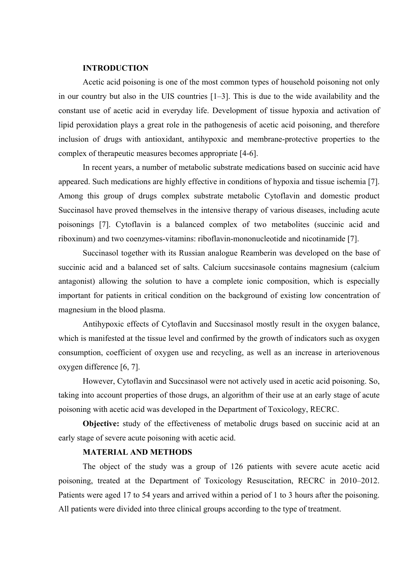#### **INTRODUCTION**

Acetic acid poisoning is one of the most common types of household poisoning not only in our country but also in the UIS countries [1–3]. This is due to the wide availability and the constant use of acetic acid in everyday life. Development of tissue hypoxia and activation of lipid peroxidation plays a great role in the pathogenesis of acetic acid poisoning, and therefore inclusion of drugs with antioxidant, antihypoxic and membrane-protective properties to the complex of therapeutic measures becomes appropriate [4-6].

In recent years, a number of metabolic substrate medications based on succinic acid have appeared. Such medications are highly effective in conditions of hypoxia and tissue ischemia [7]. Among this group of drugs complex substrate metabolic Cytoflavin and domestic product Succinasol have proved themselves in the intensive therapy of various diseases, including acute poisonings [7]. Cytoflavin is a balanced complex of two metabolites (succinic acid and riboxinum) and two coenzymes-vitamins: riboflavin-mononucleotide and nicotinamide [7].

Succinasol together with its Russian analogue Reamberin was developed on the base of succinic acid and a balanced set of salts. Calcium succsinasole contains magnesium (calcium antagonist) allowing the solution to have a complete ionic composition, which is especially important for patients in critical condition on the background of existing low concentration of magnesium in the blood plasma.

Antihypoxic effects of Cytoflavin and Succsinasol mostly result in the oxygen balance, which is manifested at the tissue level and confirmed by the growth of indicators such as oxygen consumption, coefficient of oxygen use and recycling, as well as an increase in arteriovenous oxygen difference [6, 7].

However, Cytoflavin and Succsinasol were not actively used in acetic acid poisoning. So, taking into account properties of those drugs, an algorithm of their use at an early stage of acute poisoning with acetic acid was developed in the Department of Toxicology, RECRC.

**Objective:** study of the effectiveness of metabolic drugs based on succinic acid at an early stage of severe acute poisoning with acetic acid.

#### **MATERIAL AND METHODS**

The object of the study was a group of 126 patients with severe acute acetic acid poisoning, treated at the Department of Toxicology Resuscitation, RECRC in 2010–2012. Patients were aged 17 to 54 years and arrived within a period of 1 to 3 hours after the poisoning. All patients were divided into three clinical groups according to the type of treatment.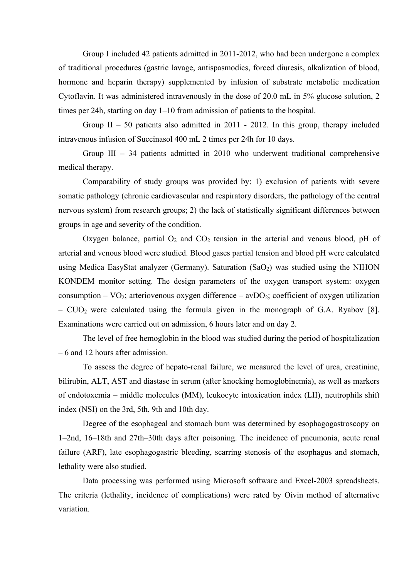Group I included 42 patients admitted in 2011-2012, who had been undergone a complex of traditional procedures (gastric lavage, antispasmodics, forced diuresis, alkalization of blood, hormone and heparin therapy) supplemented by infusion of substrate metabolic medication Cytoflavin. It was administered intravenously in the dose of 20.0 mL in 5% glucose solution, 2 times per 24h, starting on day 1–10 from admission of patients to the hospital.

Group II – 50 patients also admitted in 2011 - 2012. In this group, therapy included intravenous infusion of Succinasol 400 mL 2 times per 24h for 10 days.

Group III – 34 patients admitted in 2010 who underwent traditional comprehensive medical therapy.

Comparability of study groups was provided by: 1) exclusion of patients with severe somatic pathology (chronic cardiovascular and respiratory disorders, the pathology of the central nervous system) from research groups; 2) the lack of statistically significant differences between groups in age and severity of the condition.

Oxygen balance, partial  $O_2$  and  $CO_2$  tension in the arterial and venous blood, pH of arterial and venous blood were studied. Blood gases partial tension and blood pH were calculated using Medica EasyStat analyzer (Germany). Saturation  $(SaO<sub>2</sub>)$  was studied using the NIHON KONDEM monitor setting. The design parameters of the oxygen transport system: oxygen consumption –  $VO_2$ ; arteriovenous oxygen difference – av $DO_2$ ; coefficient of oxygen utilization  $-$  CUO<sub>2</sub> were calculated using the formula given in the monograph of G.A. Ryabov [8]. Examinations were carried out on admission, 6 hours later and on day 2.

The level of free hemoglobin in the blood was studied during the period of hospitalization – 6 and 12 hours after admission.

To assess the degree of hepato-renal failure, we measured the level of urea, creatinine, bilirubin, ALT, AST and diastase in serum (after knocking hemoglobinemia), as well as markers of endotoxemia – middle molecules (MM), leukocyte intoxication index (LII), neutrophils shift index (NSI) on the 3rd, 5th, 9th and 10th day.

Degree of the esophageal and stomach burn was determined by esophagogastroscopy on 1–2nd, 16–18th and 27th–30th days after poisoning. The incidence of pneumonia, acute renal failure (ARF), late esophagogastric bleeding, scarring stenosis of the esophagus and stomach, lethality were also studied.

Data processing was performed using Microsoft software and Excel-2003 spreadsheets. The criteria (lethality, incidence of complications) were rated by Oivin method of alternative variation.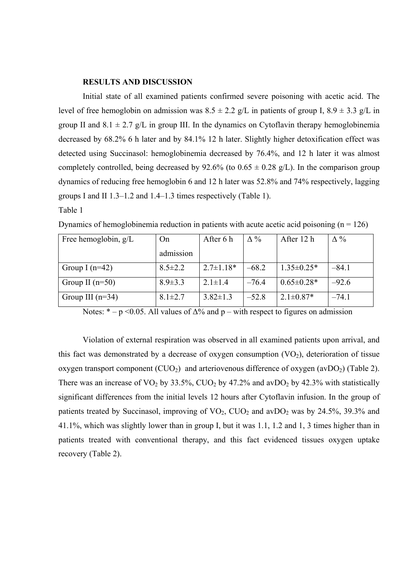## **RESULTS AND DISCUSSION**

Initial state of all examined patients confirmed severe poisoning with acetic acid. The level of free hemoglobin on admission was  $8.5 \pm 2.2$  g/L in patients of group I,  $8.9 \pm 3.3$  g/L in group II and  $8.1 \pm 2.7$  g/L in group III. In the dynamics on Cytoflavin therapy hemoglobinemia decreased by 68.2% 6 h later and by 84.1% 12 h later. Slightly higher detoxification effect was detected using Succinasol: hemoglobinemia decreased by 76.4%, and 12 h later it was almost completely controlled, being decreased by 92.6% (to  $0.65 \pm 0.28$  g/L). In the comparison group dynamics of reducing free hemoglobin 6 and 12 h later was 52.8% and 74% respectively, lagging groups I and II 1.3–1.2 and 1.4–1.3 times respectively (Table 1).

## Table 1

| Free hemoglobin, $g/L$ | On            | After 6 h       | $\Delta\%$ | After 12 h       | $\Delta\%$ |
|------------------------|---------------|-----------------|------------|------------------|------------|
|                        | admission     |                 |            |                  |            |
| Group I $(n=42)$       | $8.5 \pm 2.2$ | $2.7 \pm 1.18*$ | $-68.2$    | $1.35 \pm 0.25*$ | $-84.1$    |
| Group II $(n=50)$      | $8.9 \pm 3.3$ | $2.1 \pm 1.4$   | $-76.4$    | $0.65 \pm 0.28*$ | $-92.6$    |
| Group III $(n=34)$     | $8.1 \pm 2.7$ | $3.82 \pm 1.3$  | $-52.8$    | $2.1 \pm 0.87*$  | $-74.1$    |

Dynamics of hemoglobinemia reduction in patients with acute acetic acid poisoning  $(n = 126)$ 

Notes:  $* - p \le 0.05$ . All values of  $\Delta\%$  and p – with respect to figures on admission

Violation of external respiration was observed in all examined patients upon arrival, and this fact was demonstrated by a decrease of oxygen consumption  $(VO<sub>2</sub>)$ , deterioration of tissue oxygen transport component  $(CUO_2)$  and arteriovenous difference of oxygen  $(avDO_2)$  (Table 2). There was an increase of  $VO_2$  by 33.5%,  $CIO_2$  by 47.2% and avDO<sub>2</sub> by 42.3% with statistically significant differences from the initial levels 12 hours after Cytoflavin infusion. In the group of patients treated by Succinasol, improving of  $VO_2$ ,  $CIO_2$  and avDO<sub>2</sub> was by 24.5%, 39.3% and 41.1%, which was slightly lower than in group I, but it was 1.1, 1.2 and 1, 3 times higher than in patients treated with conventional therapy, and this fact evidenced tissues oxygen uptake recovery (Table 2).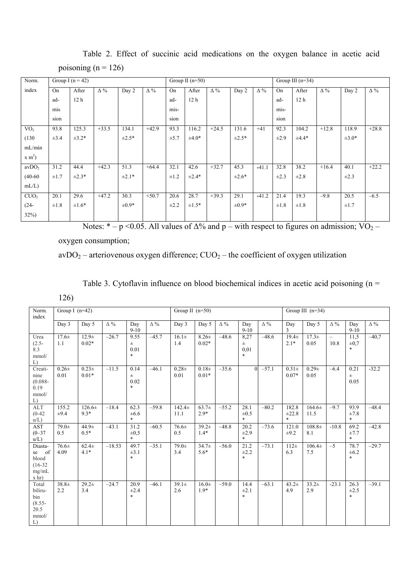| Norm.                       | Group I $(n = 42)$ |                 |            |            |            | Group II $(n=50)$ |                 |            |            |            |           | Group III $(n=34)$ |            |            |            |  |
|-----------------------------|--------------------|-----------------|------------|------------|------------|-------------------|-----------------|------------|------------|------------|-----------|--------------------|------------|------------|------------|--|
| index                       | On                 | After           | $\Delta\%$ | Day 2      | $\Delta\%$ | On                | After           | $\Delta\%$ | Day 2      | $\Delta\%$ | On        | After              | $\Delta\%$ | Day 2      | $\Delta\%$ |  |
|                             | ad-                | 12 <sub>h</sub> |            |            |            | ad-               | 12 <sub>h</sub> |            |            |            | ad-       | 12 <sub>h</sub>    |            |            |            |  |
|                             | mis                |                 |            |            |            | mis-              |                 |            |            |            | mis-      |                    |            |            |            |  |
|                             | sion               |                 |            |            |            | sion              |                 |            |            |            | sion      |                    |            |            |            |  |
| VO <sub>2</sub>             | 93.8               | 125.3           | $+33.5$    | 134.1      | $+42.9$    | 93.3              | 116.2           | $+24.5$    | 131.6      | $+41$      | 92.3      | 104.2              | $+12.8$    | 118.9      | $+28.8$    |  |
| (130)                       | $\pm 3.4$          | $\pm 3.2*$      |            | $\pm 2.5*$ |            | $\pm 5.7$         | $\pm 4.0*$      |            | $\pm 2.5*$ |            | $\pm 2.9$ | $±4.4*$            |            | $\pm 3.0*$ |            |  |
| mL/min                      |                    |                 |            |            |            |                   |                 |            |            |            |           |                    |            |            |            |  |
| $x \, \text{m}^2$           |                    |                 |            |            |            |                   |                 |            |            |            |           |                    |            |            |            |  |
| avDO <sub>2</sub>           | 31.2               | 44.4            | $+42.3$    | 51.3       | $+64.4$    | 32.1              | 42.6            | $+32.7$    | 45.3       | $+41.1$    | 32.8      | 38.2               | $+16.4$    | 40.1       | $+22.2$    |  |
| $(40-60)$                   | $\pm 1.7$          | $\pm 2.3*$      |            | $\pm 2.1*$ |            | $\pm 1.2$         | $\pm 2.4*$      |            | $±2.6*$    |            | $\pm 2.3$ | $\pm 2.8$          |            | $\pm 2.3$  |            |  |
| $mL/L$ )                    |                    |                 |            |            |            |                   |                 |            |            |            |           |                    |            |            |            |  |
| C <sub>UO<sub>2</sub></sub> | 20.1               | 29.6            | $+47.2$    | 30.3       | $+50.7$    | 20.6              | 28.7            | $+39.3$    | 29.1       | $+41.2$    | 21.4      | 19.3               | $-9.8$     | 20.5       | $-6.5$     |  |
| $(24 -$                     | $\pm 1.8$          | $±1.6*$         |            | $\pm 0.9*$ |            | $\pm 2.2$         | $±1.5*$         |            | $\pm 0.9*$ |            | $\pm 1.8$ | $\pm 1.8$          |            | $\pm 1.7$  |            |  |
| $32\%)$                     |                    |                 |            |            |            |                   |                 |            |            |            |           |                    |            |            |            |  |

Table 2. Effect of succinic acid medications on the oxygen balance in acetic acid poisoning ( $n = 126$ )

Notes: \* – p <0.05. All values of  $\Delta\%$  and p – with respect to figures on admission; VO<sub>2</sub> –

oxygen consumption;

## $avDO<sub>2</sub> - arteriovenous oxygen difference; CUO<sub>2</sub> - the coefficient of oxygen utilization$

|  | Table 3. Cytoflavin influence on blood biochemical indices in acetic acid poisoning ( $n =$ |  |  |  |  |
|--|---------------------------------------------------------------------------------------------|--|--|--|--|
|  |                                                                                             |  |  |  |  |

|--|--|

| Norm.<br>index                                              | Group I $(n=42)$   |                      |            |                                 |            |                   | Group II $(n=50)$     |            |                                    |            |                               | Group III $(n=34)$ |                                  |                             |            |  |
|-------------------------------------------------------------|--------------------|----------------------|------------|---------------------------------|------------|-------------------|-----------------------|------------|------------------------------------|------------|-------------------------------|--------------------|----------------------------------|-----------------------------|------------|--|
|                                                             | Day 3              | Day 5                | $\Delta\%$ | Day<br>$9-10$                   | $\Delta\%$ | Day 3             | Day 5                 | $\Delta\%$ | Day<br>$9-10$                      | $\Delta\%$ | Day<br>3                      | Day 5              | $\Delta\%$                       | Day<br>$9-10$               | $\Delta\%$ |  |
| Urea<br>$(2.5 -$<br>8.3<br>mmol/<br>L)                      | $17.6+$<br>1.1     | $12.9 +$<br>$0.02*$  | $-26.7$    | 9.55<br>$\pm$<br>0.01<br>$\ast$ | $-45.7$    | $16.1\pm$<br>1.4  | $8.26 \pm$<br>$0.02*$ | $-48.6$    | 8,27<br>$_{\pm}$<br>0.01<br>$\ast$ | $-48.6$    | $19.4 +$<br>$2.1*$            | $17.3+$<br>0.05    | $\overline{\phantom{0}}$<br>10.8 | 11.5<br>$\pm 0.7$<br>$\ast$ | $-40,7$    |  |
| Creati-<br>nine<br>$(0.088 -$<br>0.19<br>mmol/<br>L)        | $0.26\pm$<br>0.01  | $0.23+$<br>$0.01*$   | $-11.5$    | 0.14<br>$\pm$<br>0.02<br>$\ast$ | $-46.1$    | $0.28 +$<br>0.01  | $0.18 +$<br>$0.01*$   | $-35.6$    | $\Omega$                           | $-57.1$    | $0.31 \pm$<br>$0.07*$         | $0.29 +$<br>0.05   | $-6.4$                           | 0.21<br><b>H</b><br>0.05    | $-32.2$    |  |
| <b>ALT</b><br>$(0-42)$<br>$u/L$ )                           | 155.2<br>$\pm 9.4$ | $126.6\pm$<br>$9.3*$ | $-18.4$    | 62.3<br>$\pm 6.6$<br>$\ast$     | $-59.8$    | $142.4+$<br>11.1  | $63.7\pm$<br>$2.9*$   | $-55.2$    | 28.1<br>$\pm 0.5$<br>$\ast$        | $-80.2$    | 182.8<br>$\pm 22.8$<br>$\ast$ | $164.6\pm$<br>11.5 | $-9.7$                           | 93.9<br>$\pm 7.8$<br>$\ast$ | $-48.4$    |  |
| <b>AST</b><br>$(0 - 37)$<br>$u/L$ )                         | $79.0+$<br>0.5     | $44.9 +$<br>$0.5*$   | $-43.1$    | 31.2<br>$\pm 0.5$<br>$\ast$     | $-60.5$    | $76.6+$<br>0.5    | $39.2+$<br>$1.4*$     | $-48.8$    | 20.2<br>$\pm 2.9$<br>$\ast$        | $-73.6$    | 121.0<br>$\pm 9.2$            | $108.8+$<br>8.1    | $-10.8$                          | 69.2<br>±7.7<br>$\ast$      | $-42.8$    |  |
| Diasta-<br>se of<br>blood<br>$(16-32)$<br>mg/mL<br>$x$ hr)  | $76.6 \pm$<br>4.09 | $62.4\pm$<br>$4.1*$  | $-18.53$   | 49.7<br>$\pm 3.1$<br>$\ast$     | $-35.1$    | $79.0+$<br>3.4    | $34.7\pm$<br>$5.6*$   | $-56.0$    | 21.2<br>$\pm 2.2$<br>$\ast$        | $-73.1$    | $112\pm$<br>6.3               | $106.4\pm$<br>7.5  | $-5$                             | 78.7<br>$\pm 6.2$<br>$\ast$ | $-29.7$    |  |
| Total<br>biliru-<br>bin<br>$(8.55 -$<br>20.5<br>mmol/<br>L) | $38.8+$<br>2.2     | $29.2+$<br>3.4       | $-24.7$    | 20.9<br>$\pm 2.4$<br>$\ast$     | $-46.1$    | $39.1 \pm$<br>2.6 | $16.0+$<br>$1.9*$     | $-59.0$    | 14.4<br>$\pm 2.1$<br>$\ast$        | $-63.1$    | $43.2+$<br>4.9                | $33.2+$<br>2.9     | $-23.1$                          | 26.3<br>$\pm 2.5$<br>$\ast$ | $-39.1$    |  |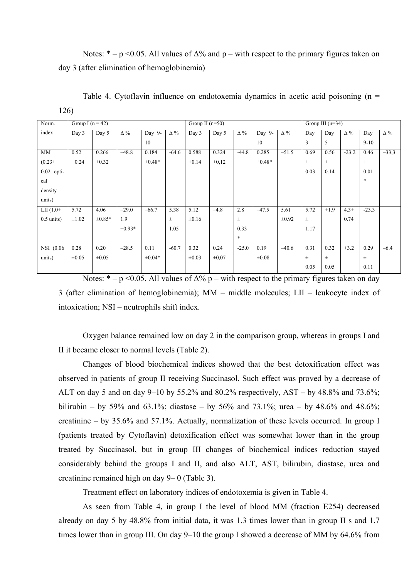Notes:  $* - p \le 0.05$ . All values of  $\Delta\%$  and p – with respect to the primary figures taken on day 3 (after elimination of hemoglobinemia)

| Norm.          | Group I ( $n = 42$ ) |             |             |             |            | Group II $(n=50)$ |            |            |             |            |       | Group III $(n=34)$ |            |          |            |  |
|----------------|----------------------|-------------|-------------|-------------|------------|-------------------|------------|------------|-------------|------------|-------|--------------------|------------|----------|------------|--|
| index          | Day 3                | Day 5       | $\Delta\%$  | Day 9-      | $\Delta\%$ | Day 3             | Day 5      | $\Delta\%$ | Day 9-      | $\Delta\%$ | Day   | Day                | $\Delta\%$ | Day      | $\Delta\%$ |  |
|                |                      |             |             | 10          |            |                   |            |            | 10          |            | 3     | 5                  |            | $9 - 10$ |            |  |
| MM             | 0.52                 | 0.266       | $-48.8$     | 0.184       | $-64.6$    | 0.588             | 0.324      | $-44.8$    | 0.285       | $-51.5$    | 0.69  | 0.56               | $-23.2$    | 0.46     | $-33,3$    |  |
| $(0.23 + )$    | $\pm 0.24$           | $\pm 0.32$  |             | $\pm 0.48*$ |            | $\pm 0.14$        | $\pm 0.12$ |            | $\pm 0.48*$ |            | $\pm$ | $_{\pm}$           |            | $\pm$    |            |  |
| 0.02 opti-     |                      |             |             |             |            |                   |            |            |             |            | 0.03  | 0.14               |            | 0.01     |            |  |
| cal            |                      |             |             |             |            |                   |            |            |             |            |       |                    |            | $\ast$   |            |  |
| density        |                      |             |             |             |            |                   |            |            |             |            |       |                    |            |          |            |  |
| units)         |                      |             |             |             |            |                   |            |            |             |            |       |                    |            |          |            |  |
| LII $(1.0 \pm$ | 5.72                 | 4.06        | $-29.0$     | $-66.7$     | 5.38       | 5.12              | $-4.8$     | 2.8        | $-47.5$     | 5.61       | 5.72  | $+1.9$             | $4.3\pm$   | $-23.3$  |            |  |
| $0.5$ units)   | $\pm 1.02$           | $\pm 0.85*$ | 1.9         |             | $\pm$      | $\pm 0.16$        |            | $\pm$      |             | $\pm 0.92$ | $\pm$ |                    | 0.74       |          |            |  |
|                |                      |             | $\pm 0.93*$ |             | 1.05       |                   |            | 0.33       |             |            | 1.17  |                    |            |          |            |  |
|                |                      |             |             |             |            |                   |            | $\ast$     |             |            |       |                    |            |          |            |  |
| NSI (0.06      | 0.28                 | 0.20        | $-28.5$     | 0.11        | $-60.7$    | 0.32              | 0.24       | $-25.0$    | 0.19        | $-40.6$    | 0.31  | 0.32               | $+3.2$     | 0.29     | $-6.4$     |  |
| units)         | $\pm 0.05$           | $\pm 0.05$  |             | $\pm 0.04*$ |            | $\pm 0.03$        | $\pm 0.07$ |            | $\pm 0.08$  |            | $\pm$ | $_{\pm}$           |            | $\pm$    |            |  |
|                |                      |             |             |             |            |                   |            |            |             |            | 0.05  | 0.05               |            | 0.11     |            |  |

Table 4. Cytoflavin influence on endotoxemia dynamics in acetic acid poisoning  $(n =$ 

| × |
|---|
|---|

Notes:  $* - p \le 0.05$ . All values of  $\Delta\%$  p – with respect to the primary figures taken on day 3 (after elimination of hemoglobinemia); MM – middle molecules; LII – leukocyte index of intoxication; NSI – neutrophils shift index.

Oxygen balance remained low on day 2 in the comparison group, whereas in groups I and II it became closer to normal levels (Table 2).

Changes of blood biochemical indices showed that the best detoxification effect was observed in patients of group II receiving Succinasol. Such effect was proved by a decrease of ALT on day 5 and on day 9–10 by 55.2% and 80.2% respectively,  $AST - by 48.8\%$  and 73.6%; bilirubin – by 59% and 63.1%; diastase – by 56% and 73.1%; urea – by 48.6% and 48.6%; creatinine – by 35.6% and 57.1%. Actually, normalization of these levels occurred. In group I (patients treated by Cytoflavin) detoxification effect was somewhat lower than in the group treated by Succinasol, but in group III changes of biochemical indices reduction stayed considerably behind the groups I and II, and also ALT, AST, bilirubin, diastase, urea and creatinine remained high on day 9– 0 (Table 3).

Treatment effect on laboratory indices of endotoxemia is given in Table 4.

As seen from Table 4, in group I the level of blood MM (fraction E254) decreased already on day 5 by 48.8% from initial data, it was 1.3 times lower than in group II s and 1.7 times lower than in group III. On day 9–10 the group I showed a decrease of MM by 64.6% from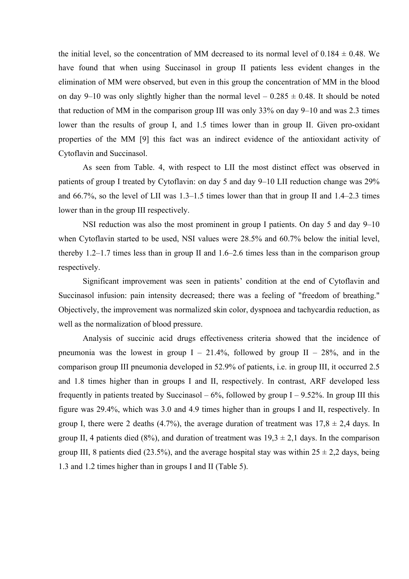the initial level, so the concentration of MM decreased to its normal level of  $0.184 \pm 0.48$ . We have found that when using Succinasol in group II patients less evident changes in the elimination of MM were observed, but even in this group the concentration of MM in the blood on day 9–10 was only slightly higher than the normal level  $-0.285 \pm 0.48$ . It should be noted that reduction of MM in the comparison group III was only 33% on day 9–10 and was 2.3 times lower than the results of group I, and 1.5 times lower than in group II. Given pro-oxidant properties of the MM [9] this fact was an indirect evidence of the antioxidant activity of Cytoflavin and Succinasol.

As seen from Table. 4, with respect to LII the most distinct effect was observed in patients of group I treated by Cytoflavin: on day 5 and day 9–10 LII reduction change was 29% and 66.7%, so the level of LII was 1.3–1.5 times lower than that in group II and 1.4–2.3 times lower than in the group III respectively.

NSI reduction was also the most prominent in group I patients. On day 5 and day 9–10 when Cytoflavin started to be used, NSI values were 28.5% and 60.7% below the initial level, thereby 1.2–1.7 times less than in group II and 1.6–2.6 times less than in the comparison group respectively.

Significant improvement was seen in patients' condition at the end of Cytoflavin and Succinasol infusion: pain intensity decreased; there was a feeling of "freedom of breathing." Objectively, the improvement was normalized skin color, dyspnoea and tachycardia reduction, as well as the normalization of blood pressure.

Analysis of succinic acid drugs effectiveness criteria showed that the incidence of pneumonia was the lowest in group  $I - 21.4\%$ , followed by group  $II - 28\%$ , and in the comparison group III pneumonia developed in 52.9% of patients, i.e. in group III, it occurred 2.5 and 1.8 times higher than in groups I and II, respectively. In contrast, ARF developed less frequently in patients treated by Succinasol –  $6\%$ , followed by group I – 9.52%. In group III this figure was 29.4%, which was 3.0 and 4.9 times higher than in groups I and II, respectively. In group I, there were 2 deaths (4.7%), the average duration of treatment was  $17.8 \pm 2.4$  days. In group II, 4 patients died (8%), and duration of treatment was  $19.3 \pm 2.1$  days. In the comparison group III, 8 patients died (23.5%), and the average hospital stay was within  $25 \pm 2.2$  days, being 1.3 and 1.2 times higher than in groups I and II (Table 5).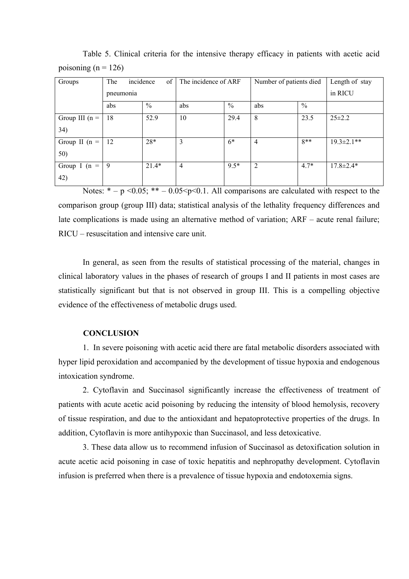| Groups           | The<br>incidence<br>of |               | The incidence of ARF |               | Number of patients died | Length of stay |                   |
|------------------|------------------------|---------------|----------------------|---------------|-------------------------|----------------|-------------------|
|                  | pneumonia              |               |                      |               |                         | in RICU        |                   |
|                  | abs                    | $\frac{0}{0}$ | abs                  | $\frac{0}{0}$ | abs                     | $\frac{0}{0}$  |                   |
| Group III $(n =$ | 18                     | 52.9          | 10                   | 29.4          | 8                       | 23.5           | $25 \pm 2.2$      |
| 34)              |                        |               |                      |               |                         |                |                   |
| Group II $(n =$  | 12                     | $28*$         | 3                    | $6*$          | $\overline{4}$          | $8**$          | $19.3 \pm 2.1$ ** |
| 50)              |                        |               |                      |               |                         |                |                   |
| Group I ( $n =$  | 9                      | $21.4*$       | $\overline{4}$       | $9.5*$        | 2                       | $4.7*$         | $17.8 \pm 2.4*$   |
| 42)              |                        |               |                      |               |                         |                |                   |

Table 5. Clinical criteria for the intensive therapy efficacy in patients with acetic acid poisoning ( $n = 126$ )

Notes:  $* - p \le 0.05$ ;  $** - 0.05 \le p \le 0.1$ . All comparisons are calculated with respect to the comparison group (group III) data; statistical analysis of the lethality frequency differences and late complications is made using an alternative method of variation; ARF – acute renal failure; RICU – resuscitation and intensive care unit.

In general, as seen from the results of statistical processing of the material, changes in clinical laboratory values in the phases of research of groups I and II patients in most cases are statistically significant but that is not observed in group III. This is a compelling objective evidence of the effectiveness of metabolic drugs used.

### **CONCLUSION**

1. In severe poisoning with acetic acid there are fatal metabolic disorders associated with hyper lipid peroxidation and accompanied by the development of tissue hypoxia and endogenous intoxication syndrome.

2. Cytoflavin and Succinasol significantly increase the effectiveness of treatment of patients with acute acetic acid poisoning by reducing the intensity of blood hemolysis, recovery of tissue respiration, and due to the antioxidant and hepatoprotective properties of the drugs. In addition, Cytoflavin is more antihypoxic than Succinasol, and less detoxicative.

3. These data allow us to recommend infusion of Succinasol as detoxification solution in acute acetic acid poisoning in case of toxic hepatitis and nephropathy development. Cytoflavin infusion is preferred when there is a prevalence of tissue hypoxia and endotoxemia signs.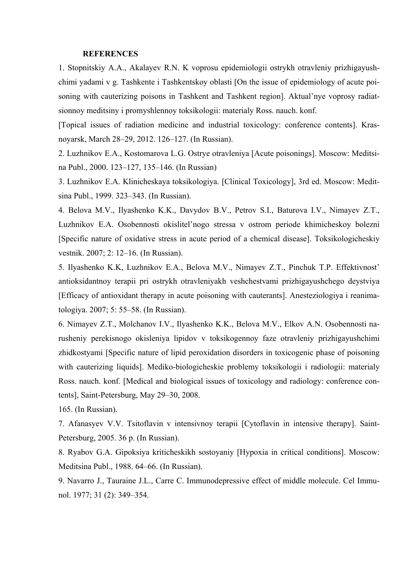#### **REFERENCES**

1. Stopnitskiy A.A., Akalayev R.N. K voprosu epidemiologii ostrykh otravleniy prizhigayushchimi yadami v g. Tashkente i Tashkentskoy oblasti [On the issue of epidemiology of acute poisoning with cauterizing poisons in Tashkent and Tashkent region]. Aktual'nye voprosy radiatsionnoy meditsiny i promyshlennoy toksikologii: materialy Ross. nauch. konf.

[Topical issues of radiation medicine and industrial toxicology: conference contents]. Krasnoyarsk, March 28–29, 2012. 126–127. (In Russian).

2. Luzhnikov E.A., Kostomarova L.G. Ostrye otravleniya [Acute poisonings]. Moscow: Meditsina Publ., 2000. 123–127, 135–146. (In Russian)

3. Luzhnikov E.A. Klinicheskaya toksikologiya. [Clinical Toxicology], 3rd ed. Moscow: Meditsina Publ., 1999. 323–343. (In Russian).

4. Belova M.V., Ilyashenko K.K., Davydov B.V., Petrov S.I., Baturova I.V., Nimayev Z.T., Luzhnikov E.A. Osobennosti okislitel'nogo stressa v ostrom periode khimicheskoy bolezni [Specific nature of oxidative stress in acute period of a chemical disease]. Toksikologicheskiy vestnik. 2007; 2: 12–16. (In Russian).

5. Ilyashenko K.K, Luzhnikov E.A., Belova M.V., Nimayev Z.T., Pinchuk T.P. Effektivnost' antioksidantnoy terapii pri ostrykh otravleniyakh veshchestvami prizhigayushchego deystviya [Efficacy of antioxidant therapy in acute poisoning with cauterants]. Anesteziologiya i reanimatologiya. 2007; 5: 55–58. (In Russian).

6. Nimayev Z.T., Molchanov I.V., Ilyashenko K.K., Belova M.V., Elkov A.N. Osobennosti narusheniy perekisnogo okisleniya lipidov v toksikogennoy faze otravleniy prizhigayushchimi zhidkostyami [Specific nature of lipid peroxidation disorders in toxicogenic phase of poisoning with cauterizing liquids]. Mediko-biologicheskie problemy toksikologii i radiologii: materialy Ross. nauch. konf. [Medical and biological issues of toxicology and radiology: conference contents], Saint-Petersburg, May 29–30, 2008.

165. (In Russian).

7. Afanasyev V.V. Tsitoflavin v intensivnoy terapii [Cytoflavin in intensive therapy]. Saint-Petersburg, 2005. 36 p. (In Russian).

8. Ryabov G.A. Gipoksiya kriticheskikh sostoyaniy [Hypoxia in critical conditions]. Moscow: Meditsina Publ., 1988. 64–66. (In Russian).

9. Navarro J., Tauraine J.L., Carre C. Immunodepressive effect of middle molecule. Cel Immunol. 1977; 31 (2): 349–354.